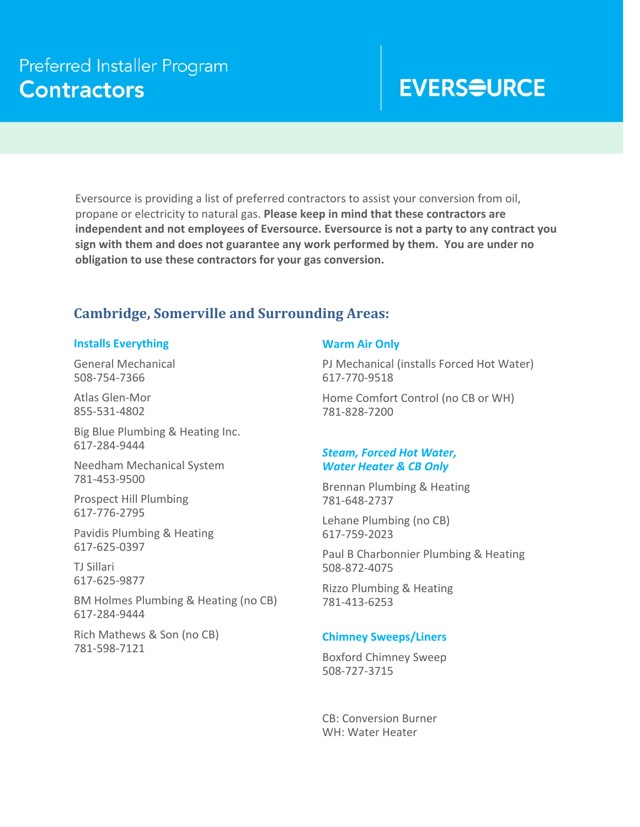# **EVERS<del>Q</del>URCE**

Eversource is providing a list of preferred contractors to assist your conversion from oil, propane or electricity to natural gas. **Please keep in mind that these contractors are independent and not employees of Eversource. Eversource is not a party to any contract you sign with them and does not guarantee any work performed by them. You are under no obligation to use these contractors for your gas conversion.**

## **Cambridge, Somerville and Surrounding Areas:**

#### **Installs Everything**

General Mechanical 508‐754‐7366

Atlas Glen‐Mor 855‐531‐4802

Big Blue Plumbing & Heating Inc. 617‐284‐9444

Needham Mechanical System 781‐453‐9500

Prospect Hill Plumbing 617‐776‐2795

Pavidis Plumbing & Heating 617‐625‐0397

TJ Sillari 617‐625‐9877

BM Holmes Plumbing & Heating (no CB) 617‐284‐9444

Rich Mathews & Son (no CB) 781‐598‐7121

#### **Warm Air Only**

PJ Mechanical (installs Forced Hot Water) 617‐770‐9518

Home Comfort Control (no CB or WH) 781‐828‐7200

#### *Steam, Forced Hot Water, Water Heater & CB Only*

Brennan Plumbing & Heating 781‐648‐2737

Lehane Plumbing (no CB) 617‐759‐2023

Paul B Charbonnier Plumbing & Heating 508‐872‐4075

Rizzo Plumbing & Heating 781‐413‐6253

#### **Chimney Sweeps/Liners**

Boxford Chimney Sweep 508‐727‐3715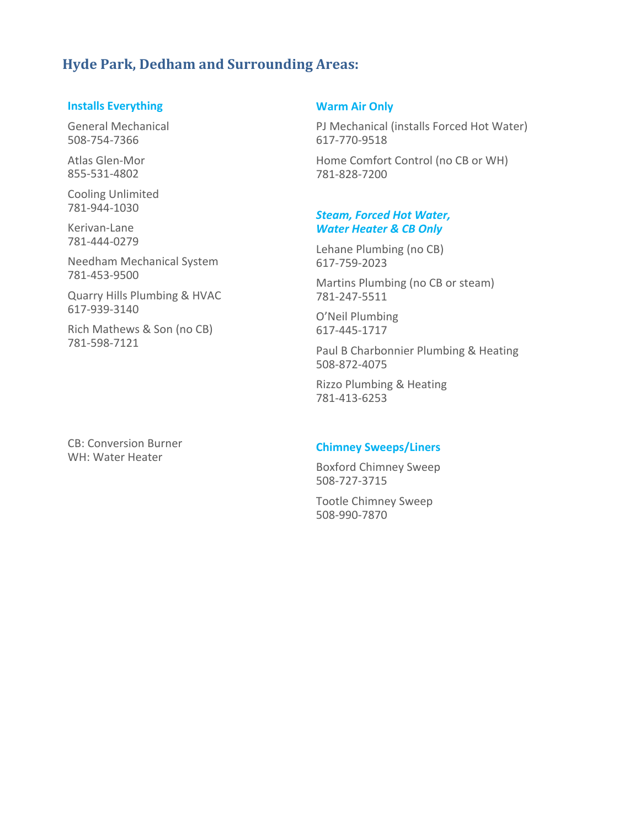## **Hyde Park, Dedham and Surrounding Areas:**

#### **Installs Everything**

General Mechanical 508‐754‐7366

Atlas Glen‐Mor 855‐531‐4802

Cooling Unlimited 781‐944‐1030

Kerivan‐Lane 781‐444‐0279

Needham Mechanical System 781‐453‐9500

Quarry Hills Plumbing & HVAC 617‐939‐3140

Rich Mathews & Son (no CB) 781‐598‐7121

CB: Conversion Burner WH: Water Heater

#### **Warm Air Only**

PJ Mechanical (installs Forced Hot Water) 617‐770‐9518

Home Comfort Control (no CB or WH) 781‐828‐7200

#### *Steam, Forced Hot Water, Water Heater & CB Only*

Lehane Plumbing (no CB) 617‐759‐2023

Martins Plumbing (no CB or steam) 781‐247‐5511

O'Neil Plumbing 617‐445‐1717

Paul B Charbonnier Plumbing & Heating 508‐872‐4075

Rizzo Plumbing & Heating 781‐413‐6253

#### **Chimney Sweeps/Liners**

Boxford Chimney Sweep 508‐727‐3715

Tootle Chimney Sweep 508‐990‐7870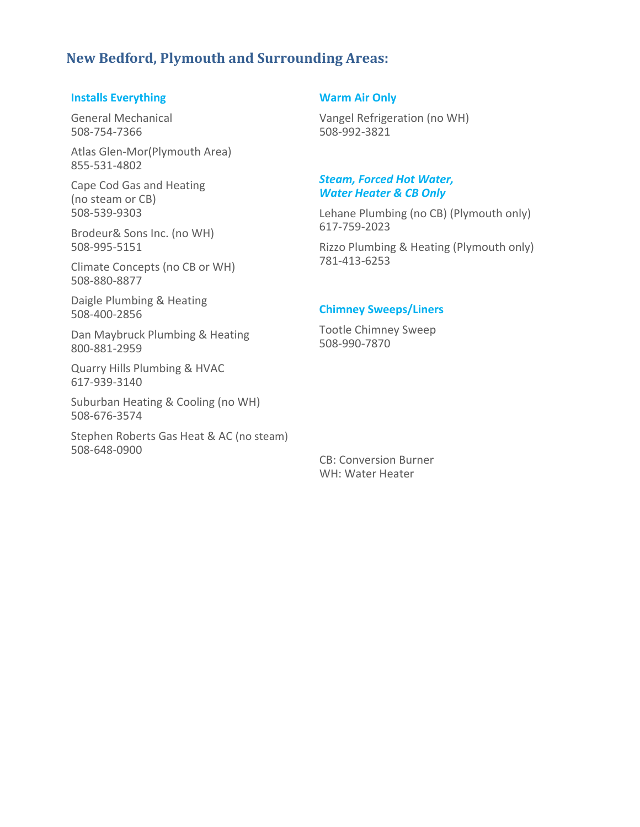### **New Bedford, Plymouth and Surrounding Areas:**

#### **Installs Everything**

General Mechanical 508‐754‐7366

Atlas Glen‐Mor(Plymouth Area) 855‐531‐4802

Cape Cod Gas and Heating (no steam or CB) 508‐539‐9303

Brodeur& Sons Inc. (no WH) 508‐995‐5151

Climate Concepts (no CB or WH) 508‐880‐8877

Daigle Plumbing & Heating 508‐400‐2856

Dan Maybruck Plumbing & Heating 800‐881‐2959

Quarry Hills Plumbing & HVAC 617‐939‐3140

Suburban Heating & Cooling (no WH) 508‐676‐3574

Stephen Roberts Gas Heat & AC (no steam) 508‐648‐0900

#### **Warm Air Only**

Vangel Refrigeration (no WH) 508‐992‐3821

#### *Steam, Forced Hot Water, Water Heater & CB Only*

Lehane Plumbing (no CB) (Plymouth only) 617‐759‐2023

Rizzo Plumbing & Heating (Plymouth only) 781‐413‐6253

#### **Chimney Sweeps/Liners**

Tootle Chimney Sweep 508‐990‐7870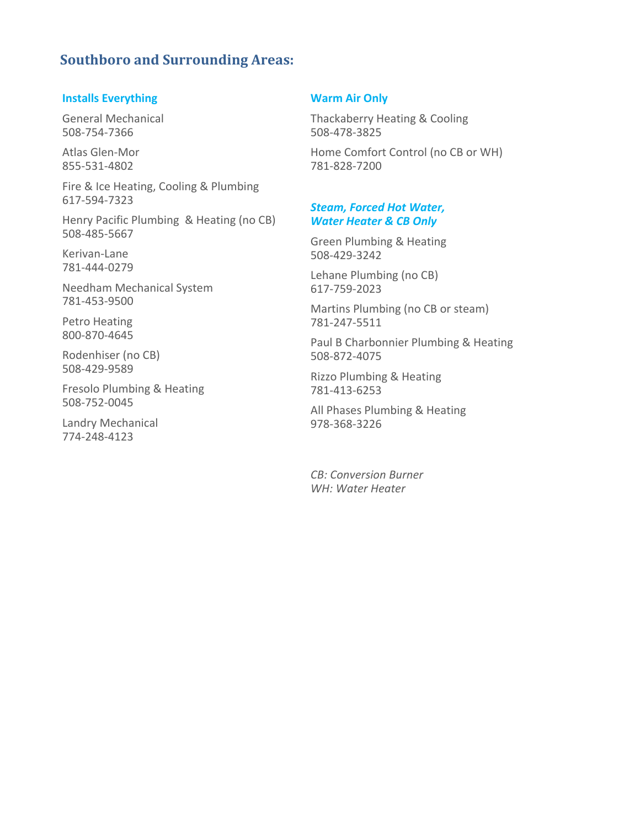## **Southboro and Surrounding Areas:**

#### **Installs Everything**

General Mechanical 508‐754‐7366

Atlas Glen‐Mor 855‐531‐4802

Fire & Ice Heating, Cooling & Plumbing 617‐594‐7323

Henry Pacific Plumbing & Heating (no CB) 508‐485‐5667

Kerivan‐Lane 781‐444‐0279

Needham Mechanical System 781‐453‐9500

Petro Heating 800‐870‐4645

Rodenhiser (no CB) 508‐429‐9589

Fresolo Plumbing & Heating 508‐752‐0045

Landry Mechanical 774‐248‐4123

#### **Warm Air Only**

Thackaberry Heating & Cooling 508‐478‐3825

Home Comfort Control (no CB or WH) 781‐828‐7200

#### *Steam, Forced Hot Water, Water Heater & CB Only*

Green Plumbing & Heating 508‐429‐3242

Lehane Plumbing (no CB) 617‐759‐2023

Martins Plumbing (no CB or steam) 781‐247‐5511

Paul B Charbonnier Plumbing & Heating 508‐872‐4075

Rizzo Plumbing & Heating 781‐413‐6253

All Phases Plumbing & Heating 978‐368‐3226